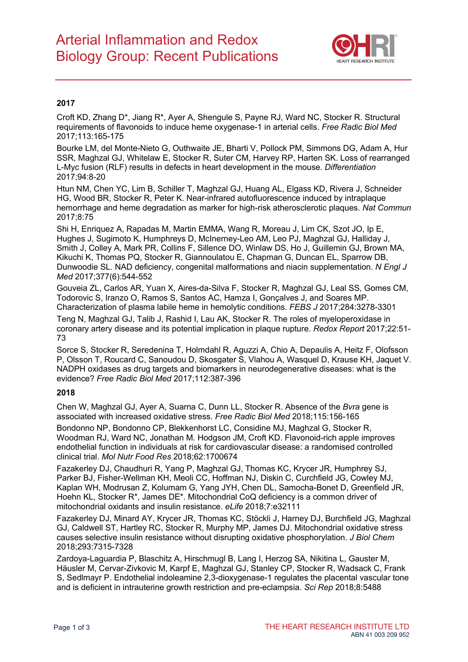

### **2017**

Croft KD, Zhang D\*, Jiang R\*, Ayer A, Shengule S, Payne RJ, Ward NC, Stocker R. Structural requirements of flavonoids to induce heme oxygenase-1 in arterial cells. *Free Radic Biol Med* 2017;113:165-175

Bourke LM, del Monte-Nieto G, Outhwaite JE, Bharti V, Pollock PM, Simmons DG, Adam A, Hur SSR, Maghzal GJ, Whitelaw E, Stocker R, Suter CM, Harvey RP, Harten SK. Loss of rearranged L-Myc fusion (RLF) results in defects in heart development in the mouse. *Differentiation* 2017;94:8-20

Htun NM, Chen YC, Lim B, Schiller T, Maghzal GJ, Huang AL, Elgass KD, Rivera J, Schneider HG, Wood BR, Stocker R, Peter K. Near-infrared autofluorescence induced by intraplaque hemorrhage and heme degradation as marker for high-risk atherosclerotic plaques. *Nat Commun* 2017;8:75

Shi H, Enriquez A, Rapadas M, Martin EMMA, Wang R, Moreau J, Lim CK, Szot JO, Ip E, Hughes J, Sugimoto K, Humphreys D, McInerney-Leo AM, Leo PJ, Maghzal GJ, Halliday J, Smith J, Colley A, Mark PR, Collins F, Sillence DO, Winlaw DS, Ho J, Guillemin GJ, Brown MA, Kikuchi K, Thomas PQ, Stocker R, Giannoulatou E, Chapman G, Duncan EL, Sparrow DB, Dunwoodie SL. NAD deficiency, congenital malformations and niacin supplementation. *N Engl J Med* 2017;377(6):544-552

Gouveia ZL, Carlos AR, Yuan X, Aires-da-Silva F, Stocker R, Maghzal GJ, Leal SS, Gomes CM, Todorovic S, Iranzo O, Ramos S, Santos AC, Hamza I, Gonçalves J, and Soares MP. Characterization of plasma labile heme in hemolytic conditions. *FEBS J* 2017;284:3278-3301

Teng N, Maghzal GJ, Talib J, Rashid I, Lau AK, Stocker R. The roles of myeloperoxidase in coronary artery disease and its potential implication in plaque rupture. *Redox Report* 2017;22:51- 73

Sorce S, Stocker R, Seredenina T, Holmdahl R, Aguzzi A, Chio A, Depaulis A, Heitz F, Olofsson P, Olsson T, Roucard C, Sanoudou D, Skosgater S, Vlahou A, Wasquel D, Krause KH, Jaquet V. NADPH oxidases as drug targets and biomarkers in neurodegenerative diseases: what is the evidence? *Free Radic Biol Med* 2017;112:387-396

#### **2018**

Chen W, Maghzal GJ, Ayer A, Suarna C, Dunn LL, Stocker R. Absence of the *Bvra* gene is associated with increased oxidative stress. *Free Radic Biol Med* 2018;115:156-165

Bondonno NP, Bondonno CP, Blekkenhorst LC, Considine MJ, Maghzal G, Stocker R, Woodman RJ, Ward NC, Jonathan M. Hodgson JM, Croft KD. Flavonoid-rich apple improves endothelial function in individuals at risk for cardiovascular disease: a randomised controlled clinical trial. *Mol Nutr Food Res* 2018;62:1700674

Fazakerley DJ, Chaudhuri R, Yang P, Maghzal GJ, Thomas KC, Krycer JR, Humphrey SJ, Parker BJ, Fisher-Wellman KH, Meoli CC, Hoffman NJ, Diskin C, Curchfield JG, Cowley MJ, Kaplan WH, Modrusan Z, Kolumam G, Yang JYH, Chen DL, Samocha-Bonet D, Greenfield JR, Hoehn KL, Stocker R\*, James DE\*. Mitochondrial CoQ deficiency is a common driver of mitochondrial oxidants and insulin resistance. *eLife* 2018;7:e32111

Fazakerley DJ, Minard AY, Krycer JR, Thomas KC, Stöckli J, Harney DJ, Burchfield JG, Maghzal GJ, Caldwell ST, Hartley RC, Stocker R, Murphy MP, James DJ. Mitochondrial oxidative stress causes selective insulin resistance without disrupting oxidative phosphorylation. *J Biol Chem* 2018;293:7315-7328

Zardoya-Laguardia P, Blaschitz A, Hirschmugl B, Lang I, Herzog SA, Nikitina L, Gauster M, Häusler M, Cervar-Zivkovic M, Karpf E, Maghzal GJ, Stanley CP, Stocker R, Wadsack C, Frank S, Sedlmayr P. Endothelial indoleamine 2,3-dioxygenase-1 regulates the placental vascular tone and is deficient in intrauterine growth restriction and pre-eclampsia. *Sci Rep* 2018;8:5488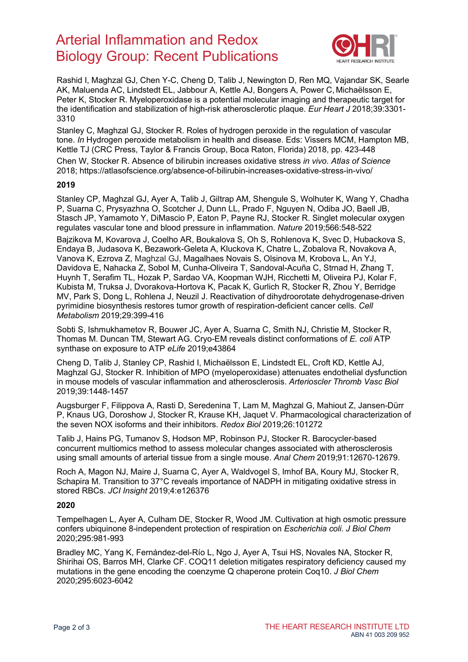# Arterial Inflammation and Redox Biology Group: Recent Publications



Rashid I, Maghzal GJ, Chen Y-C, Cheng D, Talib J, Newington D, Ren MQ, Vajandar SK, Searle AK, Maluenda AC, Lindstedt EL, Jabbour A, Kettle AJ, Bongers A, Power C, Michaëlsson E, Peter K, Stocker R. Myeloperoxidase is a potential molecular imaging and therapeutic target for the identification and stabilization of high-risk atherosclerotic plaque. *Eur Heart J* 2018;39:3301- 3310

Stanley C, Maghzal GJ, Stocker R. Roles of hydrogen peroxide in the regulation of vascular tone. *In* Hydrogen peroxide metabolism in health and disease. Eds: Vissers MCM, Hampton MB, Kettle TJ (CRC Press, Taylor & Francis Group, Boca Raton, Florida) 2018, pp. 423-448

Chen W, Stocker R. Absence of bilirubin increases oxidative stress *in vivo*. *Atlas of Science* 2018;<https://atlasofscience.org/absence-of-bilirubin-increases-oxidative-stress-in-vivo/>

#### **2019**

Stanley CP, Maghzal GJ, Ayer A, Talib J, Giltrap AM, Shengule S, Wolhuter K, Wang Y, Chadha P, Suarna C, Prysyazhna O, Scotcher J, Dunn LL, Prado F, Nguyen N, Odiba JO, Baell JB, Stasch JP, Yamamoto Y, DiMascio P, Eaton P, Payne RJ, Stocker R. Singlet molecular oxygen regulates vascular tone and blood pressure in inflammation. *Nature* 2019;566:548-522

Bajzikova M, Kovarova J, Coelho AR, Boukalova S, Oh S, Rohlenova K, Svec D, Hubackova S, Endaya B, Judasova K, Bezawork-Geleta A, Kluckova K, Chatre L, Zobalova R, Novakova A, Vanova K, Ezrova Z, Maghzal GJ, Magalhaes Novais S, Olsinova M, Krobova L, An YJ, Davidova E, Nahacka Z, Sobol M, Cunha-Oliveira T, Sandoval-Acuña C, Strnad H, Zhang T, Huynh T, Serafim TL, Hozak P, Sardao VA, Koopman WJH, Ricchetti M, Oliveira PJ, Kolar F, Kubista M, Truksa J, Dvorakova-Hortova K, Pacak K, Gurlich R, Stocker R, Zhou Y, Berridge MV, Park S, Dong L, Rohlena J, Neuzil J. Reactivation of dihydroorotate dehydrogenase-driven pyrimidine biosynthesis restores tumor growth of respiration-deficient cancer cells. *Cell Metabolism* 2019;29:399-416

Sobti S, Ishmukhametov R, Bouwer JC, Ayer A, Suarna C, Smith NJ, Christie M, Stocker R, Thomas M. Duncan TM, Stewart AG. Cryo-EM reveals distinct conformations of *E. coli* ATP synthase on exposure to ATP *eLife* 2019;e43864

Cheng D, Talib J, Stanley CP, Rashid I, Michaëlsson E, Lindstedt EL, Croft KD, Kettle AJ, Maghzal GJ, Stocker R. Inhibition of MPO (myeloperoxidase) attenuates endothelial dysfunction in mouse models of vascular inflammation and atherosclerosis. *Arterioscler Thromb Vasc Biol* 2019;39:1448-1457

Augsburger F, Filippova A, Rasti D, Seredenina T, Lam M, Maghzal G, Mahiout Z, Jansen-Dürr P, Knaus UG, Doroshow J, Stocker R, Krause KH, Jaquet V. Pharmacological characterization of the seven NOX isoforms and their inhibitors. *Redox Biol* 2019;26:101272

Talib J, Hains PG, Tumanov S, Hodson MP, Robinson PJ, Stocker R. Barocycler-based concurrent multiomics method to assess molecular changes associated with atherosclerosis using small amounts of arterial tissue from a single mouse. *Anal Chem* 2019;91:12670-12679.

Roch A, Magon NJ, Maire J, Suarna C, Ayer A, Waldvogel S, Imhof BA, Koury MJ, Stocker R, Schapira M. Transition to 37°C reveals importance of NADPH in mitigating oxidative stress in stored RBCs. *JCI Insight* 2019;4:e126376

#### **2020**

Tempelhagen L, Ayer A, Culham DE, Stocker R, Wood JM. Cultivation at high osmotic pressure confers ubiquinone 8-independent protection of respiration on *Escherichia coli*. *J Biol Chem* 2020;295:981-993

Bradley MC, Yang K, Fernández-del-Río L, Ngo J, Ayer A, Tsui HS, Novales NA, Stocker R, Shirihai OS, Barros MH, Clarke CF. COQ11 deletion mitigates respiratory deficiency caused my mutations in the gene encoding the coenzyme Q chaperone protein Coq10. *J Biol Chem* 2020;295:6023-6042